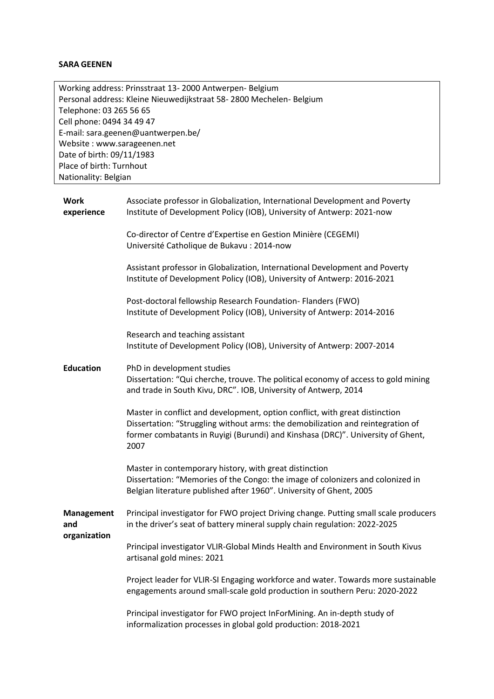# **SARA GEENEN**

| Working address: Prinsstraat 13-2000 Antwerpen-Belgium             |
|--------------------------------------------------------------------|
| Personal address: Kleine Nieuwedijkstraat 58-2800 Mechelen-Belgium |
| Telephone: 03 265 56 65                                            |
| Cell phone: 0494 34 49 47                                          |
| E-mail: sara.geenen@uantwerpen.be/                                 |
| Website: www.sarageenen.net                                        |
| Date of birth: 09/11/1983                                          |
| Place of birth: Turnhout                                           |
| Nationality: Belgian                                               |

| <b>Work</b><br>experience                | Associate professor in Globalization, International Development and Poverty<br>Institute of Development Policy (IOB), University of Antwerp: 2021-now                                                                                                     |
|------------------------------------------|-----------------------------------------------------------------------------------------------------------------------------------------------------------------------------------------------------------------------------------------------------------|
|                                          | Co-director of Centre d'Expertise en Gestion Minière (CEGEMI)<br>Université Catholique de Bukavu : 2014-now                                                                                                                                               |
|                                          | Assistant professor in Globalization, International Development and Poverty<br>Institute of Development Policy (IOB), University of Antwerp: 2016-2021                                                                                                    |
|                                          | Post-doctoral fellowship Research Foundation- Flanders (FWO)<br>Institute of Development Policy (IOB), University of Antwerp: 2014-2016                                                                                                                   |
|                                          | Research and teaching assistant<br>Institute of Development Policy (IOB), University of Antwerp: 2007-2014                                                                                                                                                |
| <b>Education</b>                         | PhD in development studies<br>Dissertation: "Qui cherche, trouve. The political economy of access to gold mining<br>and trade in South Kivu, DRC". IOB, University of Antwerp, 2014                                                                       |
|                                          | Master in conflict and development, option conflict, with great distinction<br>Dissertation: "Struggling without arms: the demobilization and reintegration of<br>former combatants in Ruyigi (Burundi) and Kinshasa (DRC)". University of Ghent,<br>2007 |
|                                          | Master in contemporary history, with great distinction<br>Dissertation: "Memories of the Congo: the image of colonizers and colonized in<br>Belgian literature published after 1960". University of Ghent, 2005                                           |
| <b>Management</b><br>and<br>organization | Principal investigator for FWO project Driving change. Putting small scale producers<br>in the driver's seat of battery mineral supply chain regulation: 2022-2025                                                                                        |
|                                          | Principal investigator VLIR-Global Minds Health and Environment in South Kivus<br>artisanal gold mines: 2021                                                                                                                                              |
|                                          | Project leader for VLIR-SI Engaging workforce and water. Towards more sustainable<br>engagements around small-scale gold production in southern Peru: 2020-2022                                                                                           |
|                                          | Principal investigator for FWO project InForMining. An in-depth study of<br>informalization processes in global gold production: 2018-2021                                                                                                                |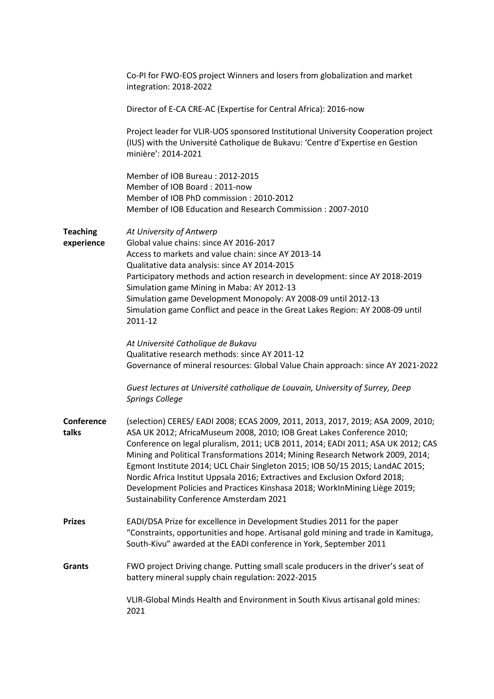|                               | Co-PI for FWO-EOS project Winners and losers from globalization and market<br>integration: 2018-2022                                                                                                                                                                                                                                                                                                                                                                                                                                                                                                                       |
|-------------------------------|----------------------------------------------------------------------------------------------------------------------------------------------------------------------------------------------------------------------------------------------------------------------------------------------------------------------------------------------------------------------------------------------------------------------------------------------------------------------------------------------------------------------------------------------------------------------------------------------------------------------------|
|                               | Director of E-CA CRE-AC (Expertise for Central Africa): 2016-now                                                                                                                                                                                                                                                                                                                                                                                                                                                                                                                                                           |
|                               | Project leader for VLIR-UOS sponsored Institutional University Cooperation project<br>(IUS) with the Université Catholique de Bukavu: 'Centre d'Expertise en Gestion<br>minière': 2014-2021                                                                                                                                                                                                                                                                                                                                                                                                                                |
|                               | Member of IOB Bureau: 2012-2015<br>Member of IOB Board: 2011-now<br>Member of IOB PhD commission: 2010-2012<br>Member of IOB Education and Research Commission: 2007-2010                                                                                                                                                                                                                                                                                                                                                                                                                                                  |
| <b>Teaching</b><br>experience | At University of Antwerp<br>Global value chains: since AY 2016-2017<br>Access to markets and value chain: since AY 2013-14<br>Qualitative data analysis: since AY 2014-2015<br>Participatory methods and action research in development: since AY 2018-2019<br>Simulation game Mining in Maba: AY 2012-13<br>Simulation game Development Monopoly: AY 2008-09 until 2012-13<br>Simulation game Conflict and peace in the Great Lakes Region: AY 2008-09 until<br>2011-12                                                                                                                                                   |
|                               | At Université Catholique de Bukavu<br>Qualitative research methods: since AY 2011-12<br>Governance of mineral resources: Global Value Chain approach: since AY 2021-2022                                                                                                                                                                                                                                                                                                                                                                                                                                                   |
|                               | Guest lectures at Université catholique de Louvain, University of Surrey, Deep<br><b>Springs College</b>                                                                                                                                                                                                                                                                                                                                                                                                                                                                                                                   |
| Conference<br>talks           | (selection) CERES/ EADI 2008; ECAS 2009, 2011, 2013, 2017, 2019; ASA 2009, 2010;<br>ASA UK 2012; AfricaMuseum 2008, 2010; IOB Great Lakes Conference 2010;<br>Conference on legal pluralism, 2011; UCB 2011, 2014; EADI 2011; ASA UK 2012; CAS<br>Mining and Political Transformations 2014; Mining Research Network 2009, 2014;<br>Egmont Institute 2014; UCL Chair Singleton 2015; IOB 50/15 2015; LandAC 2015;<br>Nordic Africa Institut Uppsala 2016; Extractives and Exclusion Oxford 2018;<br>Development Policies and Practices Kinshasa 2018; WorkInMining Liège 2019;<br>Sustainability Conference Amsterdam 2021 |
| <b>Prizes</b>                 | EADI/DSA Prize for excellence in Development Studies 2011 for the paper<br>"Constraints, opportunities and hope. Artisanal gold mining and trade in Kamituga,<br>South-Kivu" awarded at the EADI conference in York, September 2011                                                                                                                                                                                                                                                                                                                                                                                        |
| <b>Grants</b>                 | FWO project Driving change. Putting small scale producers in the driver's seat of<br>battery mineral supply chain regulation: 2022-2015                                                                                                                                                                                                                                                                                                                                                                                                                                                                                    |
|                               | VLIR-Global Minds Health and Environment in South Kivus artisanal gold mines:<br>2021                                                                                                                                                                                                                                                                                                                                                                                                                                                                                                                                      |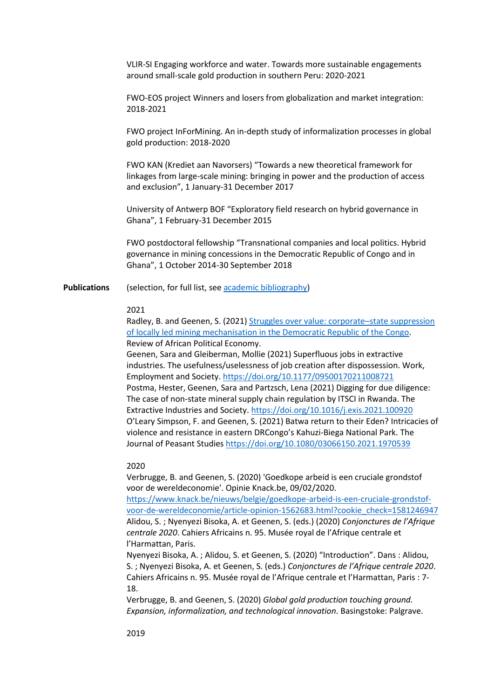VLIR-SI Engaging workforce and water. Towards more sustainable engagements around small-scale gold production in southern Peru: 2020-2021

FWO-EOS project Winners and losers from globalization and market integration: 2018-2021

FWO project InForMining. An in-depth study of informalization processes in global gold production: 2018-2020

FWO KAN (Krediet aan Navorsers) "Towards a new theoretical framework for linkages from large-scale mining: bringing in power and the production of access and exclusion", 1 January-31 December 2017

University of Antwerp BOF "Exploratory field research on hybrid governance in Ghana", 1 February-31 December 2015

FWO postdoctoral fellowship "Transnational companies and local politics. Hybrid governance in mining concessions in the Democratic Republic of Congo and in Ghana", 1 October 2014-30 September 2018

**Publications** (selection, for full list, se[e academic bibliography\)](https://repository.uantwerpen.be/desktop/irua)

### 2021

Radley, B. and Geenen, S. (2021) [Struggles over value: corporate](https://www.tandfonline.com/doi/full/10.1080/03056244.2020.1865902)–state suppression [of locally led mining mechanisation in the Democratic Republic of the Congo.](https://www.tandfonline.com/doi/full/10.1080/03056244.2020.1865902) Review of African Political Economy.

Geenen, Sara and Gleiberman, Mollie (2021) Superfluous jobs in extractive industries. The usefulness/uselessness of job creation after dispossession. Work, Employment and Society[. https://doi.org/10.1177/09500170211008721](https://doi.org/10.1177/09500170211008721) Postma, Hester, Geenen, Sara and Partzsch, Lena (2021) Digging for due diligence: The case of non-state mineral supply chain regulation by ITSCI in Rwanda. The Extractive Industries and Society[. https://doi.org/10.1016/j.exis.2021.100920](https://doi.org/10.1016/j.exis.2021.100920) O'Leary Simpson, F. and Geenen, S. (2021) Batwa return to their Eden? Intricacies of violence and resistance in eastern DRCongo's Kahuzi-Biega National Park. The Journal of Peasant Studies<https://doi.org/10.1080/03066150.2021.1970539>

#### 2020

Verbrugge, B. and Geenen, S. (2020) 'Goedkope arbeid is een cruciale grondstof voor de wereldeconomie'. Opinie Knack.be, 09/02/2020.

[https://www.knack.be/nieuws/belgie/goedkope-arbeid-is-een-cruciale-grondstof](https://www.knack.be/nieuws/belgie/goedkope-arbeid-is-een-cruciale-grondstof-voor-de-wereldeconomie/article-opinion-1562683.html?cookie_check=1581246947)[voor-de-wereldeconomie/article-opinion-1562683.html?cookie\\_check=1581246947](https://www.knack.be/nieuws/belgie/goedkope-arbeid-is-een-cruciale-grondstof-voor-de-wereldeconomie/article-opinion-1562683.html?cookie_check=1581246947) Alidou, S. ; Nyenyezi Bisoka, A. et Geenen, S. (eds.) (2020) *Conjonctures de l'Afrique centrale 2020*. Cahiers Africains n. 95. Musée royal de l'Afrique centrale et l'Harmattan, Paris.

Nyenyezi Bisoka, A. ; Alidou, S. et Geenen, S. (2020) "Introduction". Dans : Alidou, S. ; Nyenyezi Bisoka, A. et Geenen, S. (eds.) *Conjonctures de l'Afrique centrale 2020*. Cahiers Africains n. 95. Musée royal de l'Afrique centrale et l'Harmattan, Paris : 7- 18.

Verbrugge, B. and Geenen, S. (2020) *Global gold production touching ground. Expansion, informalization, and technological innovation*. Basingstoke: Palgrave.